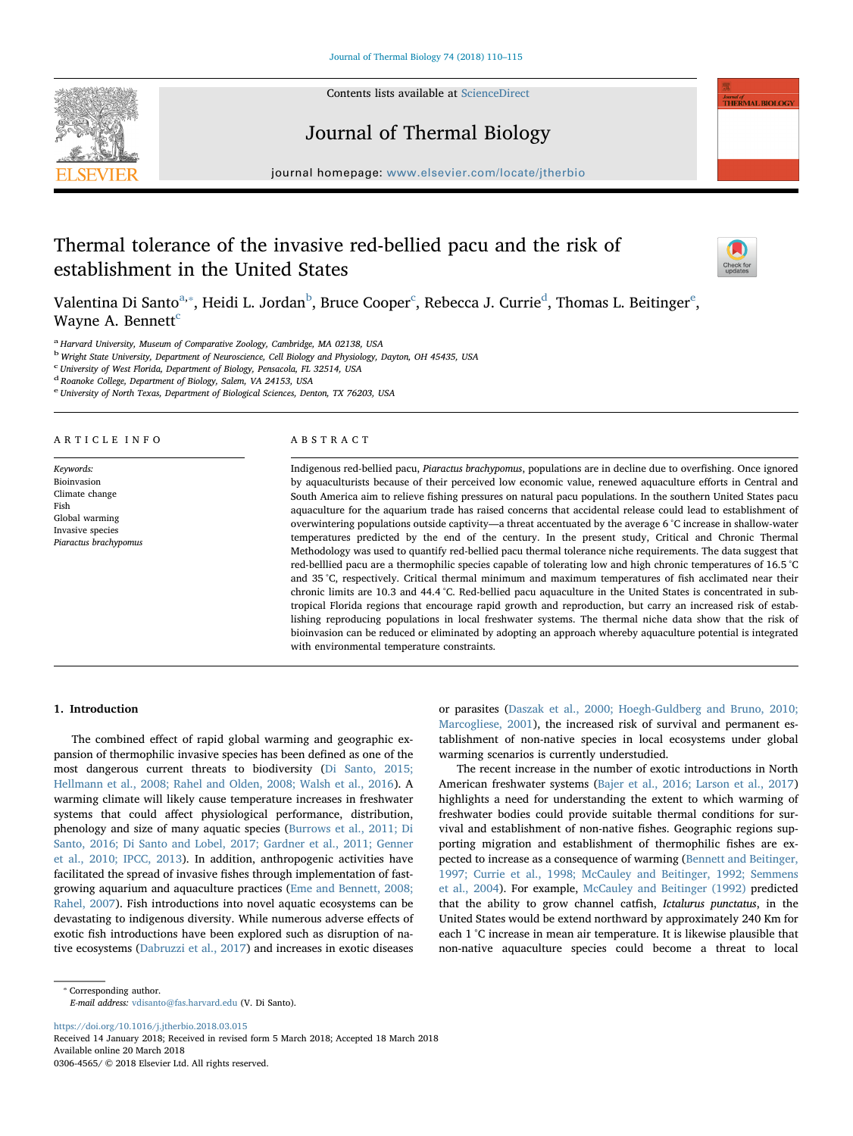

Contents lists available at [ScienceDirect](http://www.sciencedirect.com/science/journal/03064565)

# Journal of Thermal Biology

journal homepage: [www.elsevier.com/locate/jtherbio](https://www.elsevier.com/locate/jtherbio)logy/service/intervalse/service/intervalse/service/intervalse/

# Thermal tolerance of the invasive red-bellied pacu and the risk of establishment in the United States



lownal of<br>THERMAL RIOLOCY

V[a](#page-0-0)lentina Di Santo<sup>a,</sup>\*, Heidi L. Jordan<sup>[b](#page-0-2)</sup>, Bru[c](#page-0-3)e Cooper<sup>c</sup>, Rebecca J. Currie<sup>[d](#page-0-4)</sup>, Thomas L. B[e](#page-0-5)itinger<sup>e</sup>, Wayne A. Bennett<sup>[c](#page-0-3)</sup>

<span id="page-0-0"></span><sup>a</sup> Harvard University, Museum of Comparative Zoology, Cambridge, MA 02138, USA

<span id="page-0-2"></span><sup>b</sup> Wright State University, Department of Neuroscience, Cell Biology and Physiology, Dayton, OH 45435, USA

<span id="page-0-3"></span>c University of West Florida, Department of Biology, Pensacola, FL 32514, USA

<span id="page-0-4"></span><sup>d</sup> Roanoke College, Department of Biology, Salem, VA 24153, USA

<span id="page-0-5"></span><sup>e</sup> University of North Texas, Department of Biological Sciences, Denton, TX 76203, USA

#### ARTICLE INFO

Keywords: Bioinvasion Climate change Fish Global warming Invasive species Piaractus brachypomus

# ABSTRACT

Indigenous red-bellied pacu, Piaractus brachypomus, populations are in decline due to overfishing. Once ignored by aquaculturists because of their perceived low economic value, renewed aquaculture efforts in Central and South America aim to relieve fishing pressures on natural pacu populations. In the southern United States pacu aquaculture for the aquarium trade has raised concerns that accidental release could lead to establishment of overwintering populations outside captivity—a threat accentuated by the average 6 °C increase in shallow-water temperatures predicted by the end of the century. In the present study, Critical and Chronic Thermal Methodology was used to quantify red-bellied pacu thermal tolerance niche requirements. The data suggest that red-belllied pacu are a thermophilic species capable of tolerating low and high chronic temperatures of 16.5 °C and 35 °C, respectively. Critical thermal minimum and maximum temperatures of fish acclimated near their chronic limits are 10.3 and 44.4 °C. Red-bellied pacu aquaculture in the United States is concentrated in subtropical Florida regions that encourage rapid growth and reproduction, but carry an increased risk of establishing reproducing populations in local freshwater systems. The thermal niche data show that the risk of bioinvasion can be reduced or eliminated by adopting an approach whereby aquaculture potential is integrated with environmental temperature constraints.

# 1. Introduction

The combined effect of rapid global warming and geographic expansion of thermophilic invasive species has been defined as one of the most dangerous current threats to biodiversity [\(Di Santo, 2015;](#page-4-0) [Hellmann et al., 2008; Rahel and Olden, 2008; Walsh et al., 2016](#page-4-0)). A warming climate will likely cause temperature increases in freshwater systems that could affect physiological performance, distribution, phenology and size of many aquatic species ([Burrows et al., 2011; Di](#page-4-1) [Santo, 2016; Di Santo and Lobel, 2017; Gardner et al., 2011; Genner](#page-4-1) [et al., 2010; IPCC, 2013](#page-4-1)). In addition, anthropogenic activities have facilitated the spread of invasive fishes through implementation of fastgrowing aquarium and aquaculture practices ([Eme and Bennett, 2008;](#page-4-2) [Rahel, 2007\)](#page-4-2). Fish introductions into novel aquatic ecosystems can be devastating to indigenous diversity. While numerous adverse effects of exotic fish introductions have been explored such as disruption of native ecosystems ([Dabruzzi et al., 2017](#page-4-3)) and increases in exotic diseases or parasites [\(Daszak et al., 2000; Hoegh-Guldberg and Bruno, 2010;](#page-4-4) [Marcogliese, 2001](#page-4-4)), the increased risk of survival and permanent establishment of non-native species in local ecosystems under global warming scenarios is currently understudied.

The recent increase in the number of exotic introductions in North American freshwater systems ([Bajer et al., 2016; Larson et al., 2017\)](#page-4-5) highlights a need for understanding the extent to which warming of freshwater bodies could provide suitable thermal conditions for survival and establishment of non-native fishes. Geographic regions supporting migration and establishment of thermophilic fishes are expected to increase as a consequence of warming [\(Bennett and Beitinger,](#page-4-6) [1997; Currie et al., 1998; McCauley and Beitinger, 1992; Semmens](#page-4-6) [et al., 2004\)](#page-4-6). For example, [McCauley and Beitinger \(1992\)](#page-4-7) predicted that the ability to grow channel catfish, Ictalurus punctatus, in the United States would be extend northward by approximately 240 Km for each 1 °C increase in mean air temperature. It is likewise plausible that non-native aquaculture species could become a threat to local

<span id="page-0-1"></span>⁎ Corresponding author.

E-mail address: [vdisanto@fas.harvard.edu](mailto:vdisanto@fas.harvard.edu) (V. Di Santo).

<https://doi.org/10.1016/j.jtherbio.2018.03.015>

Received 14 January 2018; Received in revised form 5 March 2018; Accepted 18 March 2018 Available online 20 March 2018

0306-4565/ © 2018 Elsevier Ltd. All rights reserved.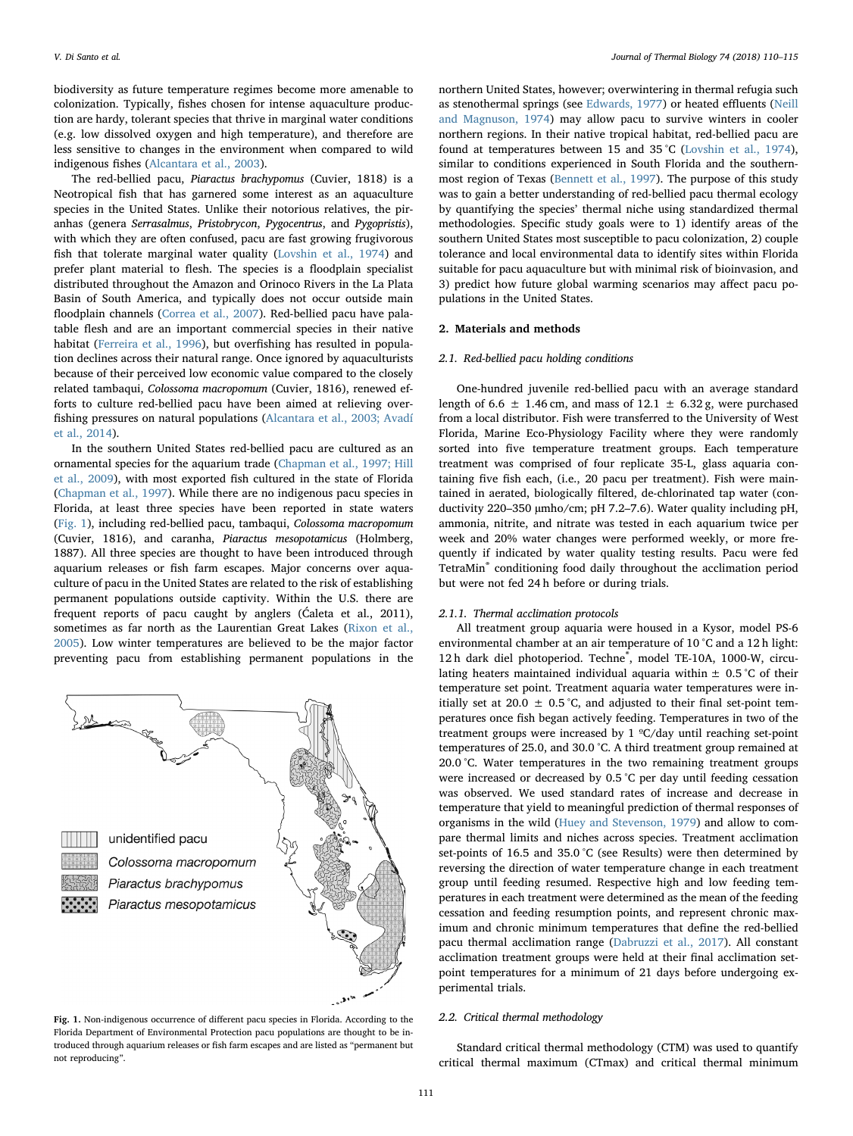biodiversity as future temperature regimes become more amenable to colonization. Typically, fishes chosen for intense aquaculture production are hardy, tolerant species that thrive in marginal water conditions (e.g. low dissolved oxygen and high temperature), and therefore are less sensitive to changes in the environment when compared to wild indigenous fishes [\(Alcantara et al., 2003\)](#page-4-8).

The red-bellied pacu, Piaractus brachypomus (Cuvier, 1818) is a Neotropical fish that has garnered some interest as an aquaculture species in the United States. Unlike their notorious relatives, the piranhas (genera Serrasalmus, Pristobrycon, Pygocentrus, and Pygopristis), with which they are often confused, pacu are fast growing frugivorous fish that tolerate marginal water quality [\(Lovshin et al., 1974\)](#page-4-9) and prefer plant material to flesh. The species is a floodplain specialist distributed throughout the Amazon and Orinoco Rivers in the La Plata Basin of South America, and typically does not occur outside main floodplain channels [\(Correa et al., 2007\)](#page-4-10). Red-bellied pacu have palatable flesh and are an important commercial species in their native habitat ([Ferreira et al., 1996\)](#page-4-11), but overfishing has resulted in population declines across their natural range. Once ignored by aquaculturists because of their perceived low economic value compared to the closely related tambaqui, Colossoma macropomum (Cuvier, 1816), renewed efforts to culture red-bellied pacu have been aimed at relieving overfishing pressures on natural populations ([Alcantara et al., 2003; Avadí](#page-4-8) [et al., 2014](#page-4-8)).

In the southern United States red-bellied pacu are cultured as an ornamental species for the aquarium trade [\(Chapman et al., 1997; Hill](#page-4-12) [et al., 2009](#page-4-12)), with most exported fish cultured in the state of Florida ([Chapman et al., 1997](#page-4-12)). While there are no indigenous pacu species in Florida, at least three species have been reported in state waters ([Fig. 1\)](#page-1-0), including red-bellied pacu, tambaqui, Colossoma macropomum (Cuvier, 1816), and caranha, Piaractus mesopotamicus (Holmberg, 1887). All three species are thought to have been introduced through aquarium releases or fish farm escapes. Major concerns over aquaculture of pacu in the United States are related to the risk of establishing permanent populations outside captivity. Within the U.S. there are frequent reports of pacu caught by anglers (Ćaleta et al., 2011), sometimes as far north as the Laurentian Great Lakes [\(Rixon et al.,](#page-5-0) [2005\)](#page-5-0). Low winter temperatures are believed to be the major factor preventing pacu from establishing permanent populations in the

<span id="page-1-0"></span>

Fig. 1. Non-indigenous occurrence of different pacu species in Florida. According to the Florida Department of Environmental Protection pacu populations are thought to be introduced through aquarium releases or fish farm escapes and are listed as "permanent but not reproducing".

northern United States, however; overwintering in thermal refugia such as stenothermal springs (see [Edwards, 1977\)](#page-4-13) or heated effluents ([Neill](#page-4-14) and [Magnuson, 1974](#page-4-14)) may allow pacu to survive winters in cooler northern regions. In their native tropical habitat, red-bellied pacu are found at temperatures between 15 and 35 °C ([Lovshin et al., 1974](#page-4-9)), similar to conditions experienced in South Florida and the southernmost region of Texas [\(Bennett et al., 1997](#page-4-15)). The purpose of this study was to gain a better understanding of red-bellied pacu thermal ecology by quantifying the species' thermal niche using standardized thermal methodologies. Specific study goals were to 1) identify areas of the southern United States most susceptible to pacu colonization, 2) couple tolerance and local environmental data to identify sites within Florida suitable for pacu aquaculture but with minimal risk of bioinvasion, and 3) predict how future global warming scenarios may affect pacu populations in the United States.

### 2. Materials and methods

#### 2.1. Red-bellied pacu holding conditions

One-hundred juvenile red-bellied pacu with an average standard length of 6.6  $\pm$  1.46 cm, and mass of 12.1  $\pm$  6.32 g, were purchased from a local distributor. Fish were transferred to the University of West Florida, Marine Eco-Physiology Facility where they were randomly sorted into five temperature treatment groups. Each temperature treatment was comprised of four replicate 35-L, glass aquaria containing five fish each, (i.e., 20 pacu per treatment). Fish were maintained in aerated, biologically filtered, de-chlorinated tap water (conductivity 220–350 µmho/cm; pH 7.2–7.6). Water quality including pH, ammonia, nitrite, and nitrate was tested in each aquarium twice per week and 20% water changes were performed weekly, or more frequently if indicated by water quality testing results. Pacu were fed TetraMin® conditioning food daily throughout the acclimation period but were not fed 24 h before or during trials.

#### 2.1.1. Thermal acclimation protocols

All treatment group aquaria were housed in a Kysor, model PS-6 environmental chamber at an air temperature of 10 °C and a 12 h light: 12 h dark diel photoperiod. Techne® , model TE-10A, 1000-W, circulating heaters maintained individual aquaria within  $\pm$  0.5 °C of their temperature set point. Treatment aquaria water temperatures were initially set at 20.0  $\pm$  0.5 °C, and adjusted to their final set-point temperatures once fish began actively feeding. Temperatures in two of the treatment groups were increased by 1 ºC/day until reaching set-point temperatures of 25.0, and 30.0 °C. A third treatment group remained at 20.0 °C. Water temperatures in the two remaining treatment groups were increased or decreased by 0.5 °C per day until feeding cessation was observed. We used standard rates of increase and decrease in temperature that yield to meaningful prediction of thermal responses of organisms in the wild [\(Huey and Stevenson, 1979](#page-4-16)) and allow to compare thermal limits and niches across species. Treatment acclimation set-points of 16.5 and 35.0 °C (see Results) were then determined by reversing the direction of water temperature change in each treatment group until feeding resumed. Respective high and low feeding temperatures in each treatment were determined as the mean of the feeding cessation and feeding resumption points, and represent chronic maximum and chronic minimum temperatures that define the red-bellied pacu thermal acclimation range [\(Dabruzzi et al., 2017\)](#page-4-3). All constant acclimation treatment groups were held at their final acclimation setpoint temperatures for a minimum of 21 days before undergoing experimental trials.

#### 2.2. Critical thermal methodology

Standard critical thermal methodology (CTM) was used to quantify critical thermal maximum (CTmax) and critical thermal minimum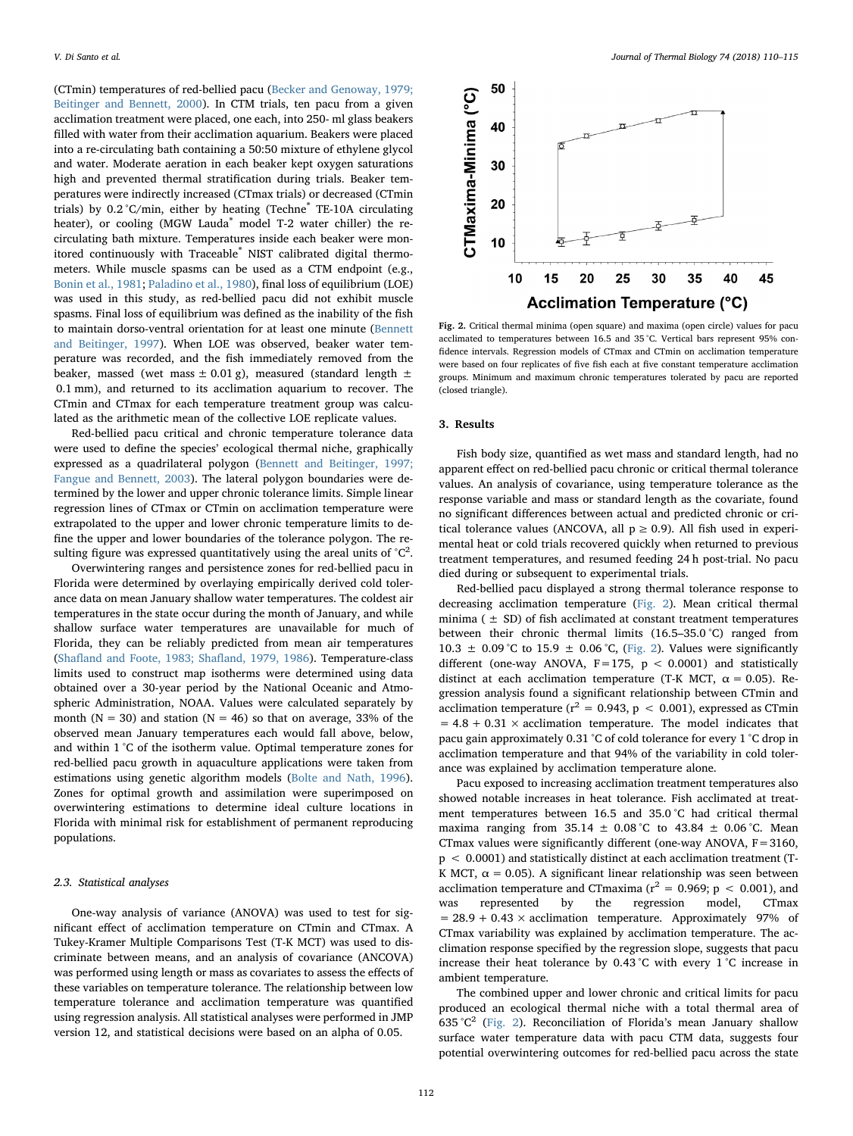(CTmin) temperatures of red-bellied pacu ([Becker and Genoway, 1979;](#page-4-17) [Beitinger and Bennett, 2000](#page-4-17)). In CTM trials, ten pacu from a given acclimation treatment were placed, one each, into 250- ml glass beakers filled with water from their acclimation aquarium. Beakers were placed into a re-circulating bath containing a 50:50 mixture of ethylene glycol and water. Moderate aeration in each beaker kept oxygen saturations high and prevented thermal stratification during trials. Beaker temperatures were indirectly increased (CTmax trials) or decreased (CTmin trials) by 0.2 °C/min, either by heating (Techne<sup>®</sup> TE-10A circulating heater), or cooling (MGW Lauda<sup>®</sup> model T-2 water chiller) the recirculating bath mixture. Temperatures inside each beaker were monitored continuously with Traceable® NIST calibrated digital thermometers. While muscle spasms can be used as a CTM endpoint (e.g., [Bonin et al., 1981](#page-4-18); [Paladino et al., 1980\)](#page-4-19), final loss of equilibrium (LOE) was used in this study, as red-bellied pacu did not exhibit muscle spasms. Final loss of equilibrium was defined as the inability of the fish to maintain dorso-ventral orientation for at least one minute ([Bennett](#page-4-6) [and Beitinger, 1997](#page-4-6)). When LOE was observed, beaker water temperature was recorded, and the fish immediately removed from the beaker, massed (wet mass  $\pm$  0.01 g), measured (standard length  $\pm$ 0.1 mm), and returned to its acclimation aquarium to recover. The CTmin and CTmax for each temperature treatment group was calculated as the arithmetic mean of the collective LOE replicate values.

Red-bellied pacu critical and chronic temperature tolerance data were used to define the species' ecological thermal niche, graphically expressed as a quadrilateral polygon [\(Bennett and Beitinger, 1997;](#page-4-6) [Fangue and Bennett, 2003](#page-4-6)). The lateral polygon boundaries were determined by the lower and upper chronic tolerance limits. Simple linear regression lines of CTmax or CTmin on acclimation temperature were extrapolated to the upper and lower chronic temperature limits to define the upper and lower boundaries of the tolerance polygon. The resulting figure was expressed quantitatively using the areal units of  $°C^2$ .

Overwintering ranges and persistence zones for red-bellied pacu in Florida were determined by overlaying empirically derived cold tolerance data on mean January shallow water temperatures. The coldest air temperatures in the state occur during the month of January, and while shallow surface water temperatures are unavailable for much of Florida, they can be reliably predicted from mean air temperatures (Shafl[and and Foote, 1983; Sha](#page-5-1)fland, 1979, 1986). Temperature-class limits used to construct map isotherms were determined using data obtained over a 30-year period by the National Oceanic and Atmospheric Administration, NOAA. Values were calculated separately by month ( $N = 30$ ) and station ( $N = 46$ ) so that on average, 33% of the observed mean January temperatures each would fall above, below, and within 1 °C of the isotherm value. Optimal temperature zones for red-bellied pacu growth in aquaculture applications were taken from estimations using genetic algorithm models ([Bolte and Nath, 1996](#page-4-20)). Zones for optimal growth and assimilation were superimposed on overwintering estimations to determine ideal culture locations in Florida with minimal risk for establishment of permanent reproducing populations.

#### 2.3. Statistical analyses

One-way analysis of variance (ANOVA) was used to test for significant effect of acclimation temperature on CTmin and CTmax. A Tukey-Kramer Multiple Comparisons Test (T-K MCT) was used to discriminate between means, and an analysis of covariance (ANCOVA) was performed using length or mass as covariates to assess the effects of these variables on temperature tolerance. The relationship between low temperature tolerance and acclimation temperature was quantified using regression analysis. All statistical analyses were performed in JMP version 12, and statistical decisions were based on an alpha of 0.05.

<span id="page-2-0"></span>

Fig. 2. Critical thermal minima (open square) and maxima (open circle) values for pacu acclimated to temperatures between 16.5 and 35 °C. Vertical bars represent 95% confidence intervals. Regression models of CTmax and CTmin on acclimation temperature were based on four replicates of five fish each at five constant temperature acclimation groups. Minimum and maximum chronic temperatures tolerated by pacu are reported (closed triangle).

#### 3. Results

Fish body size, quantified as wet mass and standard length, had no apparent effect on red-bellied pacu chronic or critical thermal tolerance values. An analysis of covariance, using temperature tolerance as the response variable and mass or standard length as the covariate, found no significant differences between actual and predicted chronic or critical tolerance values (ANCOVA, all  $p \ge 0.9$ ). All fish used in experimental heat or cold trials recovered quickly when returned to previous treatment temperatures, and resumed feeding 24 h post-trial. No pacu died during or subsequent to experimental trials.

Red-bellied pacu displayed a strong thermal tolerance response to decreasing acclimation temperature [\(Fig. 2](#page-2-0)). Mean critical thermal minima ( $\pm$  SD) of fish acclimated at constant treatment temperatures between their chronic thermal limits (16.5–35.0 °C) ranged from 10.3  $\pm$  0.09 °C to 15.9  $\pm$  0.06 °C, [\(Fig. 2\)](#page-2-0). Values were significantly different (one-way ANOVA,  $F=175$ ,  $p < 0.0001$ ) and statistically distinct at each acclimation temperature (T-K MCT,  $\alpha = 0.05$ ). Regression analysis found a significant relationship between CTmin and acclimation temperature ( $r^2 = 0.943$ ,  $p < 0.001$ ), expressed as CTmin  $= 4.8 + 0.31 \times \text{acclimation temperature.}$  The model indicates that pacu gain approximately 0.31 °C of cold tolerance for every 1 °C drop in acclimation temperature and that 94% of the variability in cold tolerance was explained by acclimation temperature alone.

Pacu exposed to increasing acclimation treatment temperatures also showed notable increases in heat tolerance. Fish acclimated at treatment temperatures between 16.5 and 35.0 °C had critical thermal maxima ranging from  $35.14 \pm 0.08$  °C to  $43.84 \pm 0.06$  °C. Mean CTmax values were significantly different (one-way ANOVA, F=3160, p < 0.0001) and statistically distinct at each acclimation treatment (T-K MCT,  $\alpha$  = 0.05). A significant linear relationship was seen between acclimation temperature and CTmaxima ( $r^2 = 0.969$ ;  $p < 0.001$ ), and was represented by the regression model, CTmax  $= 28.9 + 0.43 \times \text{acclimation}$  temperature. Approximately 97% of CTmax variability was explained by acclimation temperature. The acclimation response specified by the regression slope, suggests that pacu increase their heat tolerance by 0.43 °C with every 1 °C increase in ambient temperature.

The combined upper and lower chronic and critical limits for pacu produced an ecological thermal niche with a total thermal area of 635 °C<sup>2</sup> [\(Fig. 2](#page-2-0)). Reconciliation of Florida's mean January shallow surface water temperature data with pacu CTM data, suggests four potential overwintering outcomes for red-bellied pacu across the state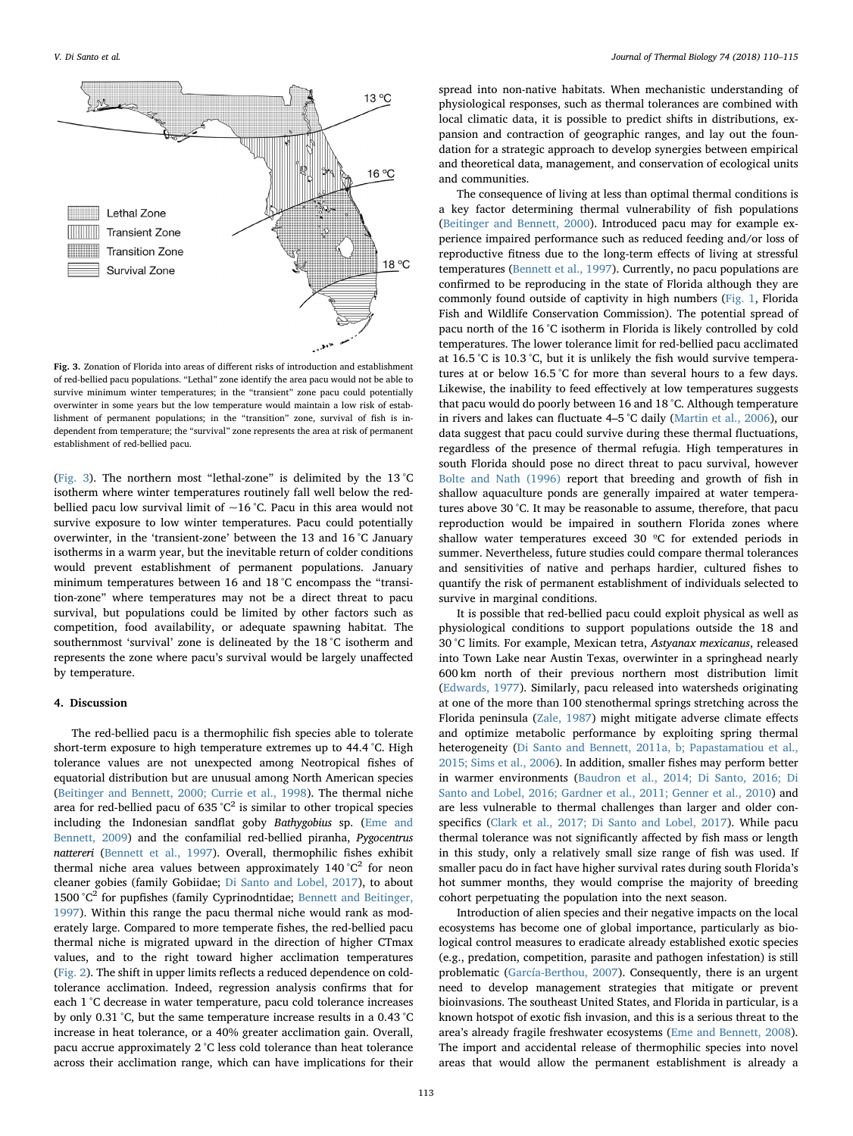<span id="page-3-0"></span>

Fig. 3. Zonation of Florida into areas of different risks of introduction and establishment of red-bellied pacu populations. "Lethal" zone identify the area pacu would not be able to survive minimum winter temperatures; in the "transient" zone pacu could potentially overwinter in some years but the low temperature would maintain a low risk of establishment of permanent populations; in the "transition" zone, survival of fish is independent from temperature; the "survival" zone represents the area at risk of permanent establishment of red-bellied pacu.

([Fig. 3](#page-3-0)). The northern most "lethal-zone" is delimited by the 13 °C isotherm where winter temperatures routinely fall well below the redbellied pacu low survival limit of  $\sim$ 16 °C. Pacu in this area would not survive exposure to low winter temperatures. Pacu could potentially overwinter, in the 'transient-zone' between the 13 and 16 °C January isotherms in a warm year, but the inevitable return of colder conditions would prevent establishment of permanent populations. January minimum temperatures between 16 and 18 °C encompass the "transition-zone" where temperatures may not be a direct threat to pacu survival, but populations could be limited by other factors such as competition, food availability, or adequate spawning habitat. The southernmost 'survival' zone is delineated by the 18 °C isotherm and represents the zone where pacu's survival would be largely unaffected by temperature.

#### 4. Discussion

The red-bellied pacu is a thermophilic fish species able to tolerate short-term exposure to high temperature extremes up to 44.4 °C. High tolerance values are not unexpected among Neotropical fishes of equatorial distribution but are unusual among North American species ([Beitinger and Bennett, 2000; Currie et al., 1998](#page-4-21)). The thermal niche area for red-bellied pacu of 635 °C<sup>2</sup> is similar to other tropical species including the Indonesian sandflat goby Bathygobius sp. [\(Eme and](#page-4-22) [Bennett, 2009](#page-4-22)) and the confamilial red-bellied piranha, Pygocentrus nattereri [\(Bennett et al., 1997](#page-4-15)). Overall, thermophilic fishes exhibit thermal niche area values between approximately  $140^{\circ}C^2$  for neon cleaner gobies (family Gobiidae; [Di Santo and Lobel, 2017](#page-4-23)), to about 1500  $^{\circ}$ C<sup>2</sup> for pupfishes (family Cyprinodntidae; [Bennett and Beitinger,](#page-4-6) [1997\)](#page-4-6). Within this range the pacu thermal niche would rank as moderately large. Compared to more temperate fishes, the red-bellied pacu thermal niche is migrated upward in the direction of higher CTmax values, and to the right toward higher acclimation temperatures ([Fig. 2](#page-2-0)). The shift in upper limits reflects a reduced dependence on coldtolerance acclimation. Indeed, regression analysis confirms that for each 1 °C decrease in water temperature, pacu cold tolerance increases by only 0.31 °C, but the same temperature increase results in a 0.43 °C increase in heat tolerance, or a 40% greater acclimation gain. Overall, pacu accrue approximately 2 °C less cold tolerance than heat tolerance across their acclimation range, which can have implications for their

spread into non-native habitats. When mechanistic understanding of physiological responses, such as thermal tolerances are combined with local climatic data, it is possible to predict shifts in distributions, expansion and contraction of geographic ranges, and lay out the foundation for a strategic approach to develop synergies between empirical and theoretical data, management, and conservation of ecological units and communities.

The consequence of living at less than optimal thermal conditions is a key factor determining thermal vulnerability of fish populations ([Beitinger and Bennett, 2000\)](#page-4-21). Introduced pacu may for example experience impaired performance such as reduced feeding and/or loss of reproductive fitness due to the long-term effects of living at stressful temperatures [\(Bennett et al., 1997](#page-4-15)). Currently, no pacu populations are confirmed to be reproducing in the state of Florida although they are commonly found outside of captivity in high numbers ([Fig. 1](#page-1-0), Florida Fish and Wildlife Conservation Commission). The potential spread of pacu north of the 16 °C isotherm in Florida is likely controlled by cold temperatures. The lower tolerance limit for red-bellied pacu acclimated at 16.5 °C is 10.3 °C, but it is unlikely the fish would survive temperatures at or below 16.5 °C for more than several hours to a few days. Likewise, the inability to feed effectively at low temperatures suggests that pacu would do poorly between 16 and 18 °C. Although temperature in rivers and lakes can fluctuate 4–5 °C daily ([Martin et al., 2006\)](#page-4-24), our data suggest that pacu could survive during these thermal fluctuations, regardless of the presence of thermal refugia. High temperatures in south Florida should pose no direct threat to pacu survival, however [Bolte and Nath \(1996\)](#page-4-20) report that breeding and growth of fish in shallow aquaculture ponds are generally impaired at water temperatures above 30 °C. It may be reasonable to assume, therefore, that pacu reproduction would be impaired in southern Florida zones where shallow water temperatures exceed 30 ºC for extended periods in summer. Nevertheless, future studies could compare thermal tolerances and sensitivities of native and perhaps hardier, cultured fishes to quantify the risk of permanent establishment of individuals selected to survive in marginal conditions.

It is possible that red-bellied pacu could exploit physical as well as physiological conditions to support populations outside the 18 and 30 °C limits. For example, Mexican tetra, Astyanax mexicanus, released into Town Lake near Austin Texas, overwinter in a springhead nearly 600 km north of their previous northern most distribution limit ([Edwards, 1977\)](#page-4-13). Similarly, pacu released into watersheds originating at one of the more than 100 stenothermal springs stretching across the Florida peninsula (Zale, [1987](#page-5-2)) might mitigate adverse climate effects and optimize metabolic performance by exploiting spring thermal heterogeneity [\(Di Santo and Bennett, 2011a, b; Papastamatiou et al.,](#page-4-25) [2015; Sims et al., 2006\)](#page-4-25). In addition, smaller fishes may perform better in warmer environments ([Baudron et al., 2014; Di Santo, 2016; Di](#page-4-26) [Santo and Lobel, 2016; Gardner et al., 2011; Genner et al., 2010\)](#page-4-26) and are less vulnerable to thermal challenges than larger and older conspecifics ([Clark et al., 2017; Di Santo and Lobel, 2017\)](#page-4-27). While pacu thermal tolerance was not significantly affected by fish mass or length in this study, only a relatively small size range of fish was used. If smaller pacu do in fact have higher survival rates during south Florida's hot summer months, they would comprise the majority of breeding cohort perpetuating the population into the next season.

Introduction of alien species and their negative impacts on the local ecosystems has become one of global importance, particularly as biological control measures to eradicate already established exotic species (e.g., predation, competition, parasite and pathogen infestation) is still problematic ([García-Berthou, 2007\)](#page-4-28). Consequently, there is an urgent need to develop management strategies that mitigate or prevent bioinvasions. The southeast United States, and Florida in particular, is a known hotspot of exotic fish invasion, and this is a serious threat to the area's already fragile freshwater ecosystems ([Eme and Bennett, 2008](#page-4-2)). The import and accidental release of thermophilic species into novel areas that would allow the permanent establishment is already a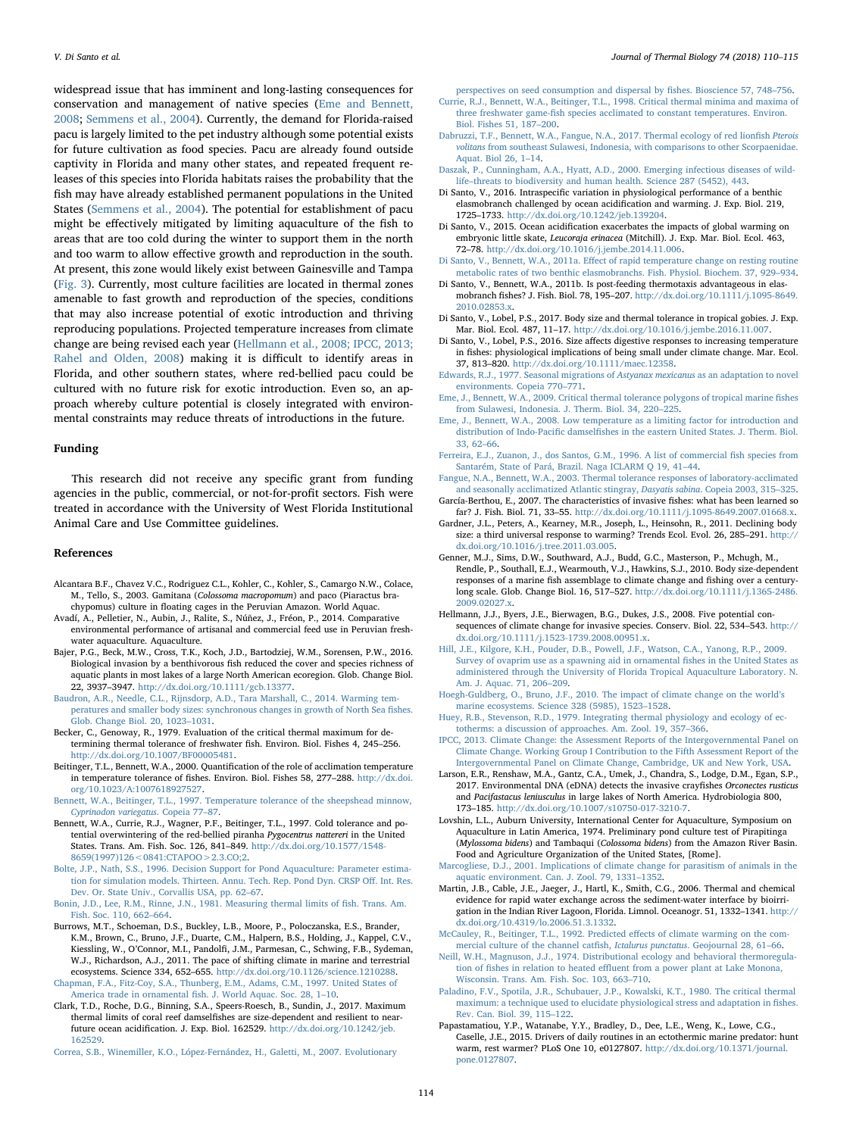widespread issue that has imminent and long-lasting consequences for conservation and management of native species ([Eme and Bennett,](#page-4-2) [2008;](#page-4-2) [Semmens et al., 2004\)](#page-5-3). Currently, the demand for Florida-raised pacu is largely limited to the pet industry although some potential exists for future cultivation as food species. Pacu are already found outside captivity in Florida and many other states, and repeated frequent releases of this species into Florida habitats raises the probability that the fish may have already established permanent populations in the United States ([Semmens et al., 2004](#page-5-3)). The potential for establishment of pacu might be effectively mitigated by limiting aquaculture of the fish to areas that are too cold during the winter to support them in the north and too warm to allow effective growth and reproduction in the south. At present, this zone would likely exist between Gainesville and Tampa ([Fig. 3\)](#page-3-0). Currently, most culture facilities are located in thermal zones amenable to fast growth and reproduction of the species, conditions that may also increase potential of exotic introduction and thriving reproducing populations. Projected temperature increases from climate change are being revised each year ([Hellmann et al., 2008; IPCC, 2013;](#page-4-29) [Rahel and Olden, 2008](#page-4-29)) making it is difficult to identify areas in Florida, and other southern states, where red-bellied pacu could be cultured with no future risk for exotic introduction. Even so, an approach whereby culture potential is closely integrated with environmental constraints may reduce threats of introductions in the future.

#### Funding

This research did not receive any specific grant from funding agencies in the public, commercial, or not-for-profit sectors. Fish were treated in accordance with the University of West Florida Institutional Animal Care and Use Committee guidelines.

#### References

- <span id="page-4-8"></span>Alcantara B.F., Chavez V.C., Rodriguez C.L., Kohler, C., Kohler, S., Camargo N.W., Colace, M., Tello, S., 2003. Gamitana (Colossoma macropomum) and paco (Piaractus brachypomus) culture in floating cages in the Peruvian Amazon. World Aquac.
- Avadí, A., Pelletier, N., Aubin, J., Ralite, S., Núñez, J., Fréon, P., 2014. Comparative environmental performance of artisanal and commercial feed use in Peruvian freshwater aquaculture. Aquaculture.
- <span id="page-4-5"></span>Bajer, P.G., Beck, M.W., Cross, T.K., Koch, J.D., Bartodziej, W.M., Sorensen, P.W., 2016. Biological invasion by a benthivorous fish reduced the cover and species richness of aquatic plants in most lakes of a large North American ecoregion. Glob. Change Biol. 22, 3937–3947. [http://dx.doi.org/10.1111/gcb.13377.](http://dx.doi.org/10.1111/gcb.13377)
- <span id="page-4-26"></span>[Baudron, A.R., Needle, C.L., Rijnsdorp, A.D., Tara Marshall, C., 2014. Warming tem](http://refhub.elsevier.com/S0306-4565(18)30011-1/sbref2)[peratures and smaller body sizes: synchronous changes in growth of North Sea](http://refhub.elsevier.com/S0306-4565(18)30011-1/sbref2) fishes. [Glob. Change Biol. 20, 1023](http://refhub.elsevier.com/S0306-4565(18)30011-1/sbref2)–1031.
- <span id="page-4-17"></span>Becker, C., Genoway, R., 1979. Evaluation of the critical thermal maximum for determining thermal tolerance of freshwater fish. Environ. Biol. Fishes 4, 245–256. <http://dx.doi.org/10.1007/BF00005481>.
- <span id="page-4-21"></span>Beitinger, T.L., Bennett, W.A., 2000. Quantification of the role of acclimation temperature in temperature tolerance of fishes. Environ. Biol. Fishes 58, 277–288. [http://dx.doi.](http://dx.doi.org/10.1023/A:1007618927527) [org/10.1023/A:1007618927527](http://dx.doi.org/10.1023/A:1007618927527).
- <span id="page-4-6"></span>[Bennett, W.A., Beitinger, T.L., 1997. Temperature tolerance of the sheepshead minnow,](http://refhub.elsevier.com/S0306-4565(18)30011-1/sbref5) [Cyprinodon variegatus](http://refhub.elsevier.com/S0306-4565(18)30011-1/sbref5). Copeia 77–87.
- <span id="page-4-15"></span>Bennett, W.A., Currie, R.J., Wagner, P.F., Beitinger, T.L., 1997. Cold tolerance and potential overwintering of the red-bellied piranha Pygocentrus nattereri in the United States. Trans. Am. Fish. Soc. 126, 841–849. [http://dx.doi.org/10.1577/1548-](http://dx.doi.org/10.1577/1548-8659(1997)126<0841:CTAPOO>2.3.CO;2) [8659\(1997\)126<0841:CTAPOO>2.3.CO;2.](http://dx.doi.org/10.1577/1548-8659(1997)126<0841:CTAPOO>2.3.CO;2)
- <span id="page-4-20"></span>[Bolte, J.P., Nath, S.S., 1996. Decision Support for Pond Aquaculture: Parameter estima](http://refhub.elsevier.com/S0306-4565(18)30011-1/sbref7)[tion for simulation models. Thirteen. Annu. Tech. Rep. Pond Dyn. CRSP O](http://refhub.elsevier.com/S0306-4565(18)30011-1/sbref7)ff. Int. Res. [Dev. Or. State Univ., Corvallis USA, pp. 62](http://refhub.elsevier.com/S0306-4565(18)30011-1/sbref7)–67.
- <span id="page-4-18"></span>[Bonin, J.D., Lee, R.M., Rinne, J.N., 1981. Measuring thermal limits of](http://refhub.elsevier.com/S0306-4565(18)30011-1/sbref8) fish. Trans. Am. [Fish. Soc. 110, 662](http://refhub.elsevier.com/S0306-4565(18)30011-1/sbref8)–664.
- <span id="page-4-1"></span>Burrows, M.T., Schoeman, D.S., Buckley, L.B., Moore, P., Poloczanska, E.S., Brander, K.M., Brown, C., Bruno, J.F., Duarte, C.M., Halpern, B.S., Holding, J., Kappel, C.V., Kiessling, W., O'Connor, M.I., Pandolfi, J.M., Parmesan, C., Schwing, F.B., Sydeman, W.J., Richardson, A.J., 2011. The pace of shifting climate in marine and terrestrial ecosystems. Science 334, 652–655. <http://dx.doi.org/10.1126/science.1210288>.

<span id="page-4-12"></span>Chapman, F.A., Fitz‐[Coy, S.A., Thunberg, E.M., Adams, C.M., 1997. United States of](http://refhub.elsevier.com/S0306-4565(18)30011-1/sbref10) America trade in ornamental fi[sh. J. World Aquac. Soc. 28, 1](http://refhub.elsevier.com/S0306-4565(18)30011-1/sbref10)–10.

<span id="page-4-27"></span>Clark, T.D., Roche, D.G., Binning, S.A., Speers-Roesch, B., Sundin, J., 2017. Maximum thermal limits of coral reef damselfishes are size-dependent and resilient to nearfuture ocean acidification. J. Exp. Biol. 162529. [http://dx.doi.org/10.1242/jeb.](http://dx.doi.org/10.1242/jeb.162529) [162529](http://dx.doi.org/10.1242/jeb.162529).

<span id="page-4-10"></span>[Correa, S.B., Winemiller, K.O., López-Fernández, H., Galetti, M., 2007. Evolutionary](http://refhub.elsevier.com/S0306-4565(18)30011-1/sbref12)

[perspectives on seed consumption and dispersal by](http://refhub.elsevier.com/S0306-4565(18)30011-1/sbref12) fishes. Bioscience 57, 748–756.

- [Currie, R.J., Bennett, W.A., Beitinger, T.L., 1998. Critical thermal minima and maxima of](http://refhub.elsevier.com/S0306-4565(18)30011-1/sbref13) three freshwater game-fi[sh species acclimated to constant temperatures. Environ.](http://refhub.elsevier.com/S0306-4565(18)30011-1/sbref13) [Biol. Fishes 51, 187](http://refhub.elsevier.com/S0306-4565(18)30011-1/sbref13)–200.
- <span id="page-4-3"></span>[Dabruzzi, T.F., Bennett, W.A., Fangue, N.A., 2017. Thermal ecology of red lion](http://refhub.elsevier.com/S0306-4565(18)30011-1/sbref14)fish Pterois volitans [from southeast Sulawesi, Indonesia, with comparisons to other Scorpaenidae.](http://refhub.elsevier.com/S0306-4565(18)30011-1/sbref14) [Aquat. Biol 26, 1](http://refhub.elsevier.com/S0306-4565(18)30011-1/sbref14)–14.
- <span id="page-4-4"></span>[Daszak, P., Cunningham, A.A., Hyatt, A.D., 2000. Emerging infectious diseases of wild](http://refhub.elsevier.com/S0306-4565(18)30011-1/sbref15)life–[threats to biodiversity and human health. Science 287 \(5452\), 443.](http://refhub.elsevier.com/S0306-4565(18)30011-1/sbref15)
- Di Santo, V., 2016. Intraspecific variation in physiological performance of a benthic elasmobranch challenged by ocean acidification and warming. J. Exp. Biol. 219, 1725–1733. <http://dx.doi.org/10.1242/jeb.139204>.
- <span id="page-4-0"></span>Di Santo, V., 2015. Ocean acidification exacerbates the impacts of global warming on embryonic little skate, Leucoraja erinacea (Mitchill). J. Exp. Mar. Biol. Ecol. 463, 72–78. <http://dx.doi.org/10.1016/j.jembe.2014.11.006>.
- <span id="page-4-25"></span>Di Santo, V., Bennett, W.A., 2011a. Eff[ect of rapid temperature change on resting routine](http://refhub.elsevier.com/S0306-4565(18)30011-1/sbref18) [metabolic rates of two benthic elasmobranchs. Fish. Physiol. Biochem. 37, 929](http://refhub.elsevier.com/S0306-4565(18)30011-1/sbref18)–934.
- Di Santo, V., Bennett, W.A., 2011b. Is post-feeding thermotaxis advantageous in elasmobranch fishes? J. Fish. Biol. 78, 195–207. [http://dx.doi.org/10.1111/j.1095-8649.](http://dx.doi.org/10.1111/j.1095-8649.2010.02853.x) [2010.02853.x.](http://dx.doi.org/10.1111/j.1095-8649.2010.02853.x)
- <span id="page-4-23"></span>Di Santo, V., Lobel, P.S., 2017. Body size and thermal tolerance in tropical gobies. J. Exp. Mar. Biol. Ecol. 487, 11–17. <http://dx.doi.org/10.1016/j.jembe.2016.11.007>.
- Di Santo, V., Lobel, P.S., 2016. Size affects digestive responses to increasing temperature in fishes: physiological implications of being small under climate change. Mar. Ecol. 37, 813–820. [http://dx.doi.org/10.1111/maec.12358.](http://dx.doi.org/10.1111/maec.12358)
- <span id="page-4-13"></span>[Edwards, R.J., 1977. Seasonal migrations of](http://refhub.elsevier.com/S0306-4565(18)30011-1/sbref22) Astyanax mexicanus as an adaptation to novel [environments. Copeia 770](http://refhub.elsevier.com/S0306-4565(18)30011-1/sbref22)–771.
- <span id="page-4-22"></span>[Eme, J., Bennett, W.A., 2009. Critical thermal tolerance polygons of tropical marine](http://refhub.elsevier.com/S0306-4565(18)30011-1/sbref23) fishes from [Sulawesi, Indonesia. J. Therm. Biol. 34, 220](http://refhub.elsevier.com/S0306-4565(18)30011-1/sbref23)–225.
- <span id="page-4-2"></span>[Eme, J., Bennett, W.A., 2008. Low temperature as a limiting factor for introduction and](http://refhub.elsevier.com/S0306-4565(18)30011-1/sbref24) distribution of Indo-Pacific damselfi[shes in the eastern United States. J. Therm. Biol.](http://refhub.elsevier.com/S0306-4565(18)30011-1/sbref24) [33, 62](http://refhub.elsevier.com/S0306-4565(18)30011-1/sbref24)–66.
- <span id="page-4-11"></span>[Ferreira, E.J., Zuanon, J., dos Santos, G.M., 1996. A list of commercial](http://refhub.elsevier.com/S0306-4565(18)30011-1/sbref25) fish species from [Santarém, State of Pará, Brazil. Naga ICLARM Q 19, 41](http://refhub.elsevier.com/S0306-4565(18)30011-1/sbref25)–44.
- [Fangue, N.A., Bennett, W.A., 2003. Thermal tolerance responses of laboratory-acclimated](http://refhub.elsevier.com/S0306-4565(18)30011-1/sbref26) [and seasonally acclimatized Atlantic stingray,](http://refhub.elsevier.com/S0306-4565(18)30011-1/sbref26) Dasyatis sabina. Copeia 2003, 315–325.
- <span id="page-4-28"></span>García-Berthou, E., 2007. The characteristics of invasive fishes: what has been learned so far? J. Fish. Biol. 71, 33–55. [http://dx.doi.org/10.1111/j.1095-8649.2007.01668.x.](http://dx.doi.org/10.1111/j.1095-8649.2007.01668.x)
- Gardner, J.L., Peters, A., Kearney, M.R., Joseph, L., Heinsohn, R., 2011. Declining body size: a third universal response to warming? Trends Ecol. Evol. 26, 285–291. [http://](http://dx.doi.org/10.1016/j.tree.2011.03.005) [dx.doi.org/10.1016/j.tree.2011.03.005](http://dx.doi.org/10.1016/j.tree.2011.03.005).
- Genner, M.J., Sims, D.W., Southward, A.J., Budd, G.C., Masterson, P., Mchugh, M., Rendle, P., Southall, E.J., Wearmouth, V.J., Hawkins, S.J., 2010. Body size-dependent responses of a marine fish assemblage to climate change and fishing over a centurylong scale. Glob. Change Biol. 16, 517–527. [http://dx.doi.org/10.1111/j.1365-2486.](http://dx.doi.org/10.1111/j.1365-2486.2009.02027.x) [2009.02027.x.](http://dx.doi.org/10.1111/j.1365-2486.2009.02027.x)
- <span id="page-4-29"></span>Hellmann, J.J., Byers, J.E., Bierwagen, B.G., Dukes, J.S., 2008. Five potential consequences of climate change for invasive species. Conserv. Biol. 22, 534–543. [http://](http://dx.doi.org/10.1111/j.1523-1739.2008.00951.x) [dx.doi.org/10.1111/j.1523-1739.2008.00951.x](http://dx.doi.org/10.1111/j.1523-1739.2008.00951.x).
- [Hill, J.E., Kilgore, K.H., Pouder, D.B., Powell, J.F., Watson, C.A., Yanong, R.P., 2009.](http://refhub.elsevier.com/S0306-4565(18)30011-1/sbref31) [Survey of ovaprim use as a spawning aid in ornamental](http://refhub.elsevier.com/S0306-4565(18)30011-1/sbref31) fishes in the United States as [administered through the University of Florida Tropical Aquaculture Laboratory. N.](http://refhub.elsevier.com/S0306-4565(18)30011-1/sbref31) [Am. J. Aquac. 71, 206](http://refhub.elsevier.com/S0306-4565(18)30011-1/sbref31)–209.
- [Hoegh-Guldberg, O., Bruno, J.F., 2010. The impact of climate change on the world](http://refhub.elsevier.com/S0306-4565(18)30011-1/sbref32)'s [marine ecosystems. Science 328 \(5985\), 1523](http://refhub.elsevier.com/S0306-4565(18)30011-1/sbref32)–1528.
- <span id="page-4-16"></span>[Huey, R.B., Stevenson, R.D., 1979. Integrating thermal physiology and ecology of ec](http://refhub.elsevier.com/S0306-4565(18)30011-1/sbref33)[totherms: a discussion of approaches. Am. Zool. 19, 357](http://refhub.elsevier.com/S0306-4565(18)30011-1/sbref33)–366.
- [IPCC, 2013. Climate Change: the Assessment Reports of the Intergovernmental Panel on](http://refhub.elsevier.com/S0306-4565(18)30011-1/sbref34) [Climate Change. Working Group I Contribution to the Fifth Assessment Report of the](http://refhub.elsevier.com/S0306-4565(18)30011-1/sbref34) [Intergovernmental Panel on Climate Change, Cambridge, UK and New York, USA.](http://refhub.elsevier.com/S0306-4565(18)30011-1/sbref34)
- Larson, E.R., Renshaw, M.A., Gantz, C.A., Umek, J., Chandra, S., Lodge, D.M., Egan, S.P., 2017. Environmental DNA (eDNA) detects the invasive crayfishes Orconectes rusticus and Pacifastacus leniusculus in large lakes of North America. Hydrobiologia 800, 173–185. <http://dx.doi.org/10.1007/s10750-017-3210-7>.
- <span id="page-4-9"></span>Lovshin, L.L., Auburn University, International Center for Aquaculture, Symposium on Aquaculture in Latin America, 1974. Preliminary pond culture test of Pirapitinga (Mylossoma bidens) and Tambaqui (Colossoma bidens) from the Amazon River Basin. Food and Agriculture Organization of the United States, [Rome].
- [Marcogliese, D.J., 2001. Implications of climate change for parasitism of animals in the](http://refhub.elsevier.com/S0306-4565(18)30011-1/sbref36) [aquatic environment. Can. J. Zool. 79, 1331](http://refhub.elsevier.com/S0306-4565(18)30011-1/sbref36)–1352.
- <span id="page-4-24"></span>Martin, J.B., Cable, J.E., Jaeger, J., Hartl, K., Smith, C.G., 2006. Thermal and chemical evidence for rapid water exchange across the sediment-water interface by bioirrigation in the Indian River Lagoon, Florida. Limnol. Oceanogr. 51, 1332–1341. [http://](http://dx.doi.org/10.4319/lo.2006.51.3.1332) [dx.doi.org/10.4319/lo.2006.51.3.1332.](http://dx.doi.org/10.4319/lo.2006.51.3.1332)
- <span id="page-4-7"></span>[McCauley, R., Beitinger, T.L., 1992. Predicted e](http://refhub.elsevier.com/S0306-4565(18)30011-1/sbref38)ffects of climate warming on the com[mercial culture of the channel cat](http://refhub.elsevier.com/S0306-4565(18)30011-1/sbref38)fish, Ictalurus punctatus. Geojournal 28, 61–66.
- <span id="page-4-14"></span>[Neill, W.H., Magnuson, J.J., 1974. Distributional ecology and behavioral thermoregula](http://refhub.elsevier.com/S0306-4565(18)30011-1/sbref39)tion of fishes in relation to heated effl[uent from a power plant at Lake Monona,](http://refhub.elsevier.com/S0306-4565(18)30011-1/sbref39) [Wisconsin. Trans. Am. Fish. Soc. 103, 663](http://refhub.elsevier.com/S0306-4565(18)30011-1/sbref39)–710.
- <span id="page-4-19"></span>[Paladino, F.V., Spotila, J.R., Schubauer, J.P., Kowalski, K.T., 1980. The critical thermal](http://refhub.elsevier.com/S0306-4565(18)30011-1/sbref40) [maximum: a technique used to elucidate physiological stress and adaptation in](http://refhub.elsevier.com/S0306-4565(18)30011-1/sbref40) fishes. [Rev. Can. Biol. 39, 115](http://refhub.elsevier.com/S0306-4565(18)30011-1/sbref40)–122.
- Papastamatiou, Y.P., Watanabe, Y.Y., Bradley, D., Dee, L.E., Weng, K., Lowe, C.G., Caselle, J.E., 2015. Drivers of daily routines in an ectothermic marine predator: hunt warm, rest warmer? PLoS One 10, e0127807. [http://dx.doi.org/10.1371/journal.](http://dx.doi.org/10.1371/journal.pone.0127807) [pone.0127807](http://dx.doi.org/10.1371/journal.pone.0127807).